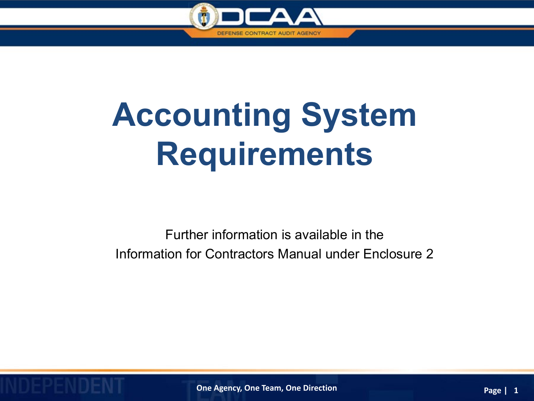

## **Accounting System Requirements**

Further information is available in the Information for Contractors Manual under Enclosure 2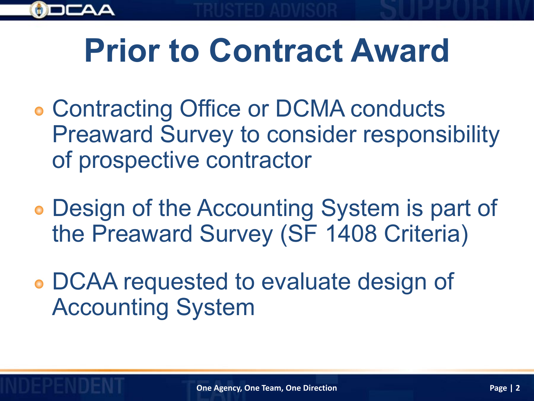

## **Prior to Contract Award**

- Contracting Office or DCMA conducts Preaward Survey to consider responsibility of prospective contractor
- Design of the Accounting System is part of the Preaward Survey (SF 1408 Criteria)
- DCAA requested to evaluate design of Accounting System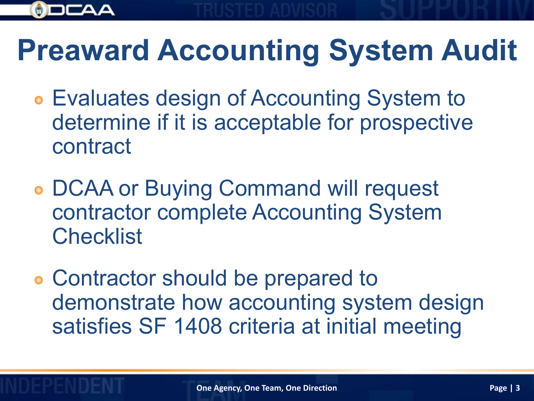

#### **Preaward Accounting System Audit**

- Evaluates design of Accounting System to determine if it is acceptable for prospective contract
- DCAA or Buying Command will request contractor complete Accounting System **Checklist**
- Contractor should be prepared to demonstrate how accounting system design satisfies SF 1408 criteria at initial meeting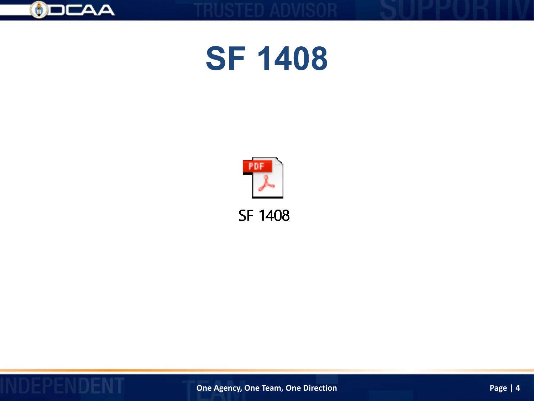

#### **SF 1408**



**SF 1408** 

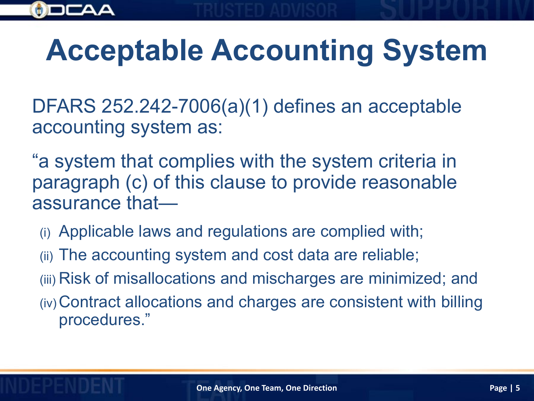

### **Acceptable Accounting System**

DFARS 252.242-7006(a)(1) defines an acceptable accounting system as:

"a system that complies with the system criteria in paragraph (c) of this clause to provide reasonable assurance that—

- (i) Applicable laws and regulations are complied with;
- (ii) The accounting system and cost data are reliable;
- (iii) Risk of misallocations and mischarges are minimized; and
- (iv) Contract allocations and charges are consistent with billing procedures."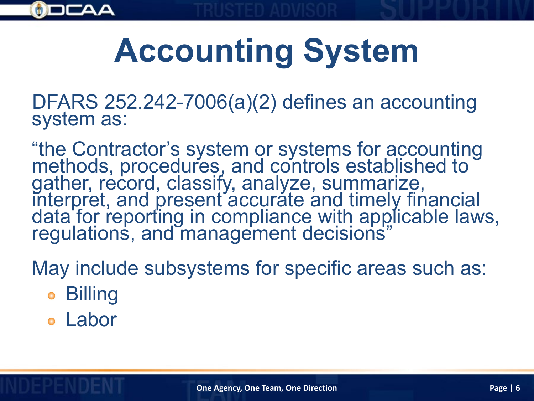

# **Accounting System**

DFARS 252.242-7006(a)(2) defines an accounting system as:

"the Contractor's system or systems for accounting methods, procedures, and controls established to gather, record, classify, analyze, summarize, interpret, and present accurate and timely financial data for reporting in compliance with applicable laws, regulations, and management decisions"

May include subsystems for specific areas such as:

- Billing
- Labor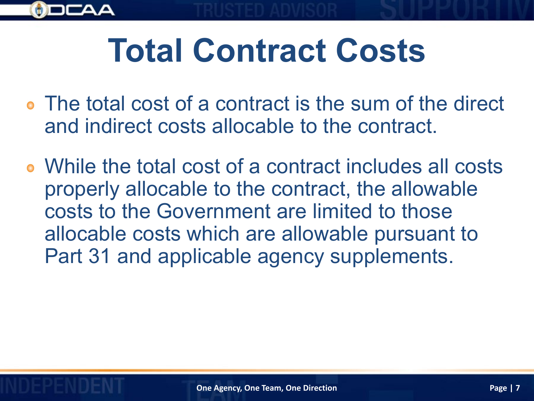

## **Total Contract Costs**

- The total cost of a contract is the sum of the direct and indirect costs allocable to the contract.
- While the total cost of a contract includes all costs properly allocable to the contract, the allowable costs to the Government are limited to those allocable costs which are allowable pursuant to Part 31 and applicable agency supplements.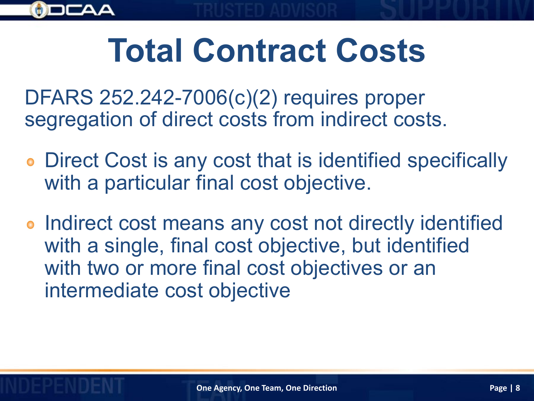

## **Total Contract Costs**

DFARS 252.242-7006(c)(2) requires proper segregation of direct costs from indirect costs.

- Direct Cost is any cost that is identified specifically with a particular final cost objective.
- **Indirect cost means any cost not directly identified** with a single, final cost objective, but identified with two or more final cost objectives or an intermediate cost objective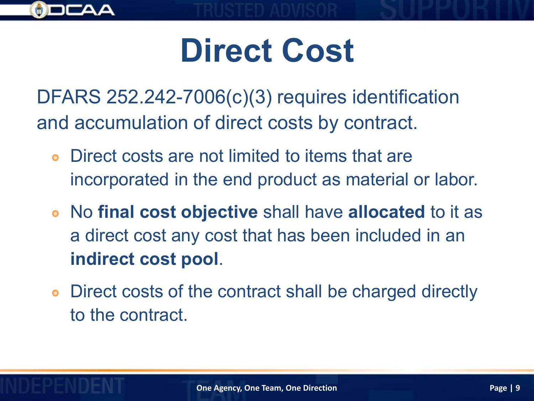

## **Direct Cost**

DFARS 252.242-7006(c)(3) requires identification and accumulation of direct costs by contract.

- Direct costs are not limited to items that are incorporated in the end product as material or labor.
- No **final cost objective** shall have **allocated** to it as a direct cost any cost that has been included in an **indirect cost pool**.
- Direct costs of the contract shall be charged directly to the contract.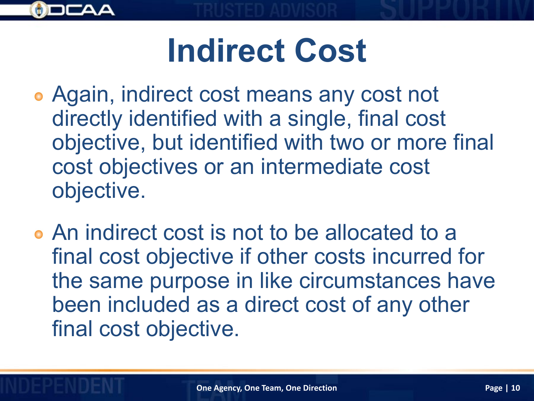

## **Indirect Cost**

- Again, indirect cost means any cost not directly identified with a single, final cost objective, but identified with two or more final cost objectives or an intermediate cost objective.
- An indirect cost is not to be allocated to a final cost objective if other costs incurred for the same purpose in like circumstances have been included as a direct cost of any other final cost objective.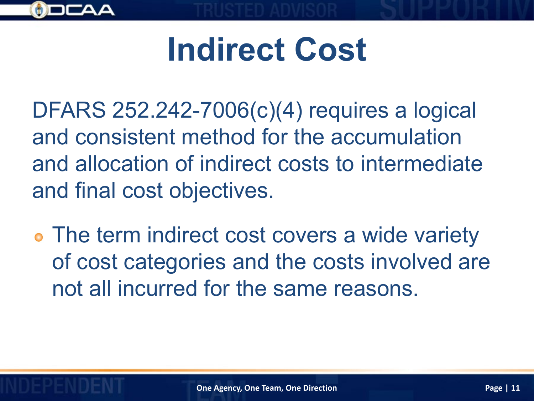

### **Indirect Cost**

DFARS 252.242-7006(c)(4) requires a logical and consistent method for the accumulation and allocation of indirect costs to intermediate and final cost objectives.

The term indirect cost covers a wide variety of cost categories and the costs involved are not all incurred for the same reasons.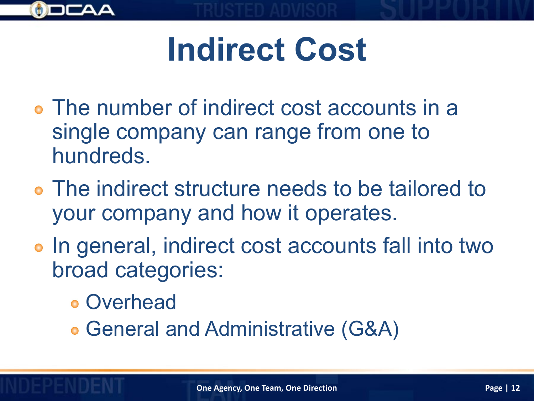

## **Indirect Cost**

- The number of indirect cost accounts in a single company can range from one to hundreds.
- The indirect structure needs to be tailored to your company and how it operates.
- In general, indirect cost accounts fall into two broad categories:
	- Overhead
	- General and Administrative (G&A)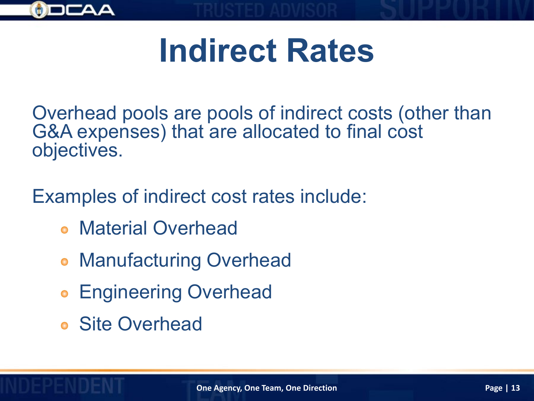

### **Indirect Rates**

Overhead pools are pools of indirect costs (other than G&A expenses) that are allocated to final cost objectives.

Examples of indirect cost rates include:

- Material Overhead
- **Manufacturing Overhead**
- Engineering Overhead  $\bullet$
- Site Overhead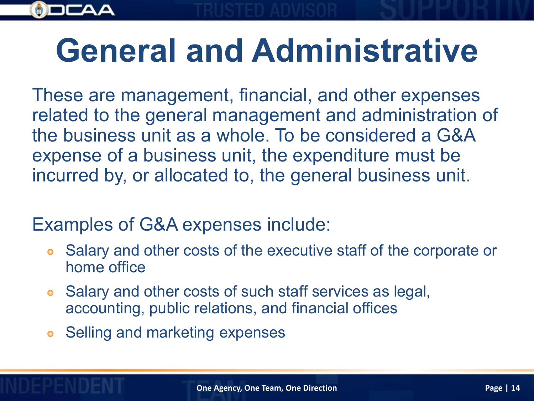

### **General and Administrative**

These are management, financial, and other expenses related to the general management and administration of the business unit as a whole. To be considered a G&A expense of a business unit, the expenditure must be incurred by, or allocated to, the general business unit.

Examples of G&A expenses include:

- Salary and other costs of the executive staff of the corporate or  $\bullet$ home office
- Salary and other costs of such staff services as legal,  $\bullet$ accounting, public relations, and financial offices
- **Selling and marketing expenses**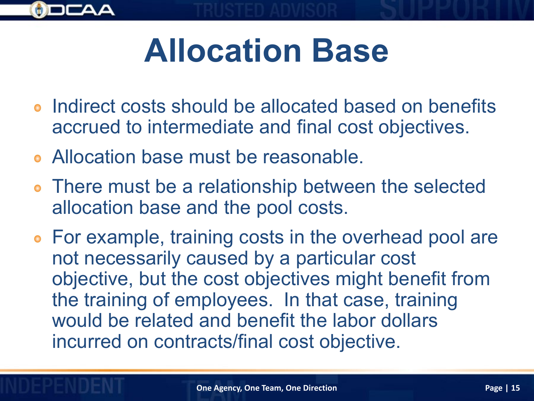

## **Allocation Base**

- Indirect costs should be allocated based on benefits accrued to intermediate and final cost objectives.
- Allocation base must be reasonable.
- There must be a relationship between the selected allocation base and the pool costs.
- For example, training costs in the overhead pool are not necessarily caused by a particular cost objective, but the cost objectives might benefit from the training of employees. In that case, training would be related and benefit the labor dollars incurred on contracts/final cost objective.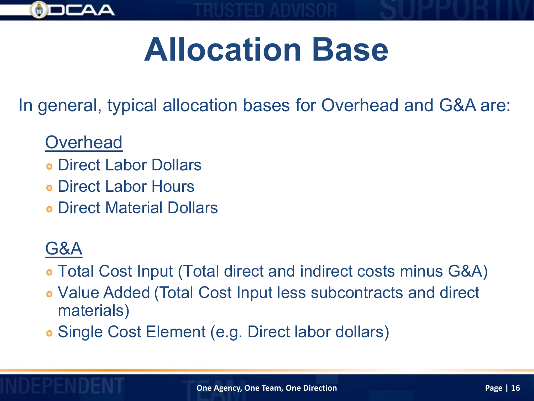

## **Allocation Base**

In general, typical allocation bases for Overhead and G&A are:

#### **Overhead**

- Direct Labor Dollars
- Direct Labor Hours
- Direct Material Dollars

#### G&A

Total Cost Input (Total direct and indirect costs minus G&A)

- Value Added (Total Cost Input less subcontracts and direct materials)
- Single Cost Element (e.g. Direct labor dollars)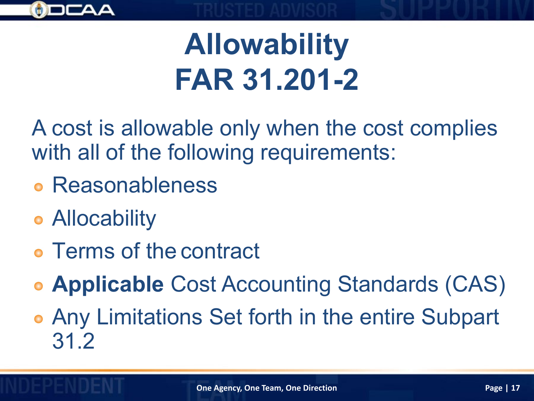

#### **Allowability FAR 31.201-2**

A cost is allowable only when the cost complies with all of the following requirements:

- Reasonableness
- **Allocability**
- Terms of the contract
- **Applicable** Cost Accounting Standards (CAS)
- Any Limitations Set forth in the entire Subpart 31.2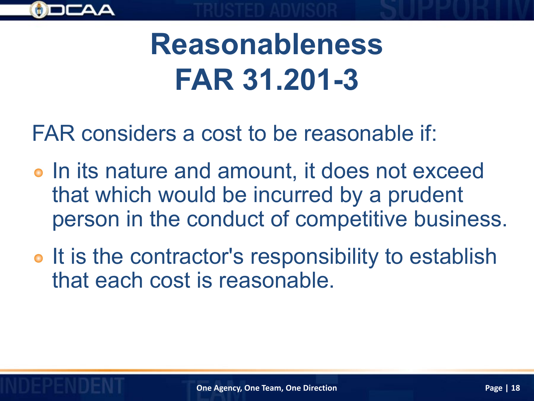

#### **Reasonableness FAR 31.201-3**

FAR considers a cost to be reasonable if:

- o In its nature and amount, it does not exceed that which would be incurred by a prudent person in the conduct of competitive business.
- o It is the contractor's responsibility to establish that each cost is reasonable.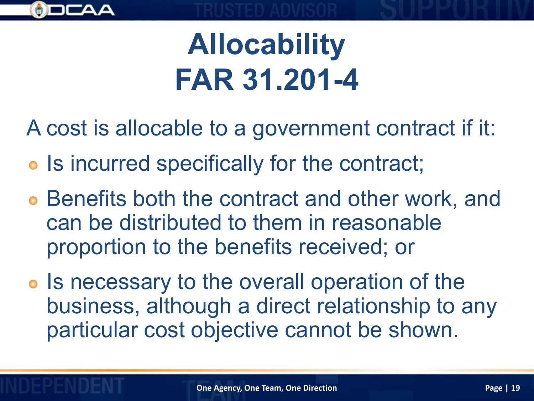

### **Allocability FAR 31.201-4**

A cost is allocable to a government contract if it:

- Is incurred specifically for the contract;
- Benefits both the contract and other work, and can be distributed to them in reasonable proportion to the benefits received; or
- **•** Is necessary to the overall operation of the business, although a direct relationship to any particular cost objective cannot be shown.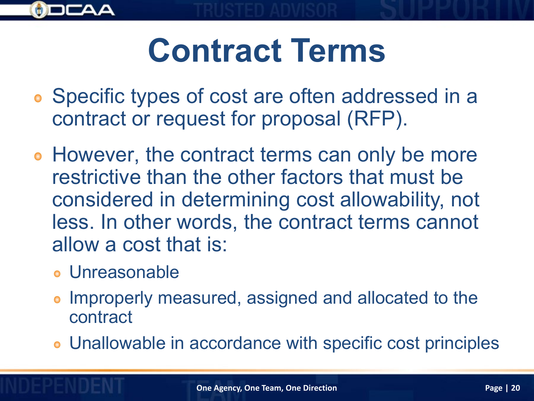

## **Contract Terms**

- Specific types of cost are often addressed in a contract or request for proposal (RFP).
- However, the contract terms can only be more restrictive than the other factors that must be considered in determining cost allowability, not less. In other words, the contract terms cannot allow a cost that is:
	- Unreasonable
	- Improperly measured, assigned and allocated to the contract
	- Unallowable in accordance with specific cost principles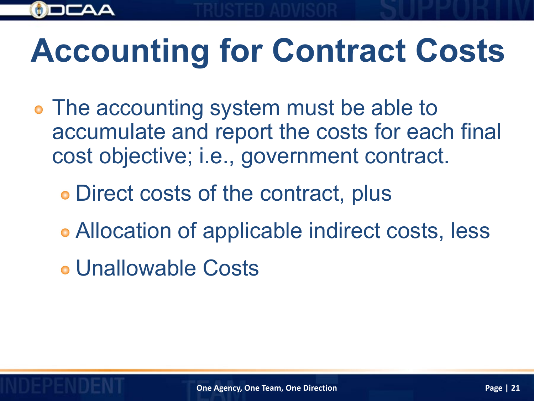# **Accounting for Contract Costs**

- The accounting system must be able to accumulate and report the costs for each final cost objective; i.e., government contract.
	- Direct costs of the contract, plus
	- Allocation of applicable indirect costs, less
	- Unallowable Costs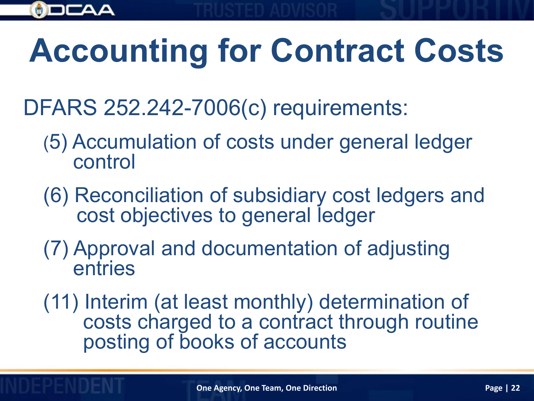# **Accounting for Contract Costs**

- DFARS 252.242-7006(c) requirements:
	- (5) Accumulation of costs under general ledger control
	- (6) Reconciliation of subsidiary cost ledgers and cost objectives to general ledger
	- (7) Approval and documentation of adjusting entries
	- (11) Interim (at least monthly) determination of costs charged to a contract through routine posting of books of accounts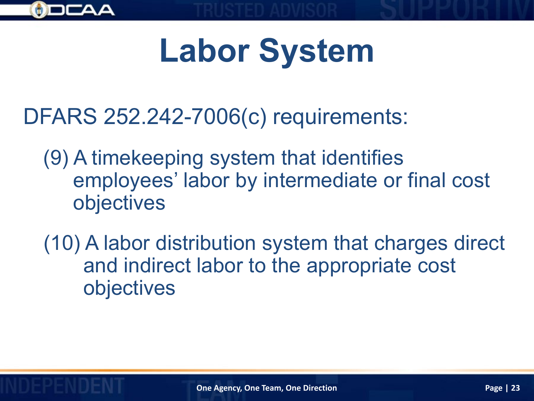

# **Labor System**

DFARS 252.242-7006(c) requirements:

- (9) A timekeeping system that identifies employees' labor by intermediate or final cost objectives
- (10) A labor distribution system that charges direct and indirect labor to the appropriate cost objectives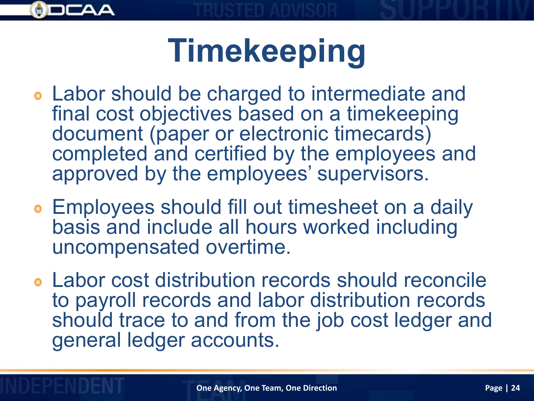

# **Timekeeping**

- Labor should be charged to intermediate and final cost objectives based on a timekeeping document (paper or electronic timecards) completed and certified by the employees and approved by the employees' supervisors.
- Employees should fill out timesheet on a daily basis and include all hours worked including uncompensated overtime.
- Labor cost distribution records should reconcile to payroll records and labor distribution records should trace to and from the job cost ledger and general ledger accounts.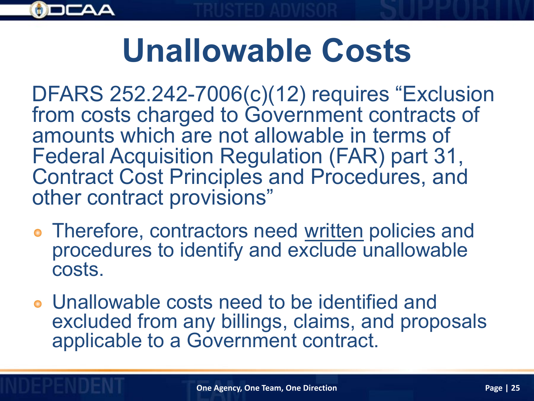

### **Unallowable Costs**

DFARS 252.242-7006(c)(12) requires "Exclusion from costs charged to Government contracts of amounts which are not allowable in terms of Federal Acquisition Regulation (FAR) part 31, Contract Cost Principles and Procedures, and other contract provisions"

- Therefore, contractors need written policies and procedures to identify and exclude unallowable costs.
- Unallowable costs need to be identified and excluded from any billings, claims, and proposals applicable to a Government contract.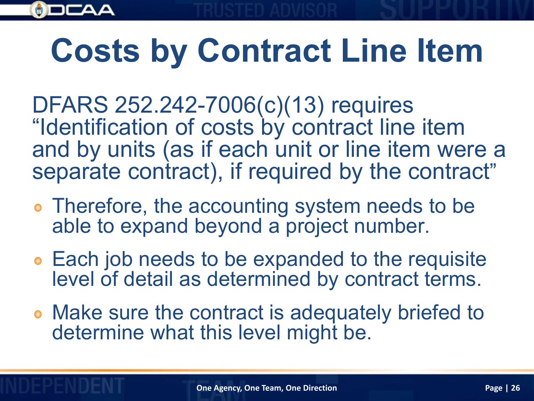

## **Costs by Contract Line Item**

DFARS 252.242-7006(c)(13) requires "Identification of costs by contract line item and by units (as if each unit or line item were a separate contract), if required by the contract"

- **Therefore, the accounting system needs to be** able to expand beyond a project number.
- Each job needs to be expanded to the requisite level of detail as determined by contract terms.
- Make sure the contract is adequately briefed to determine what this level might be.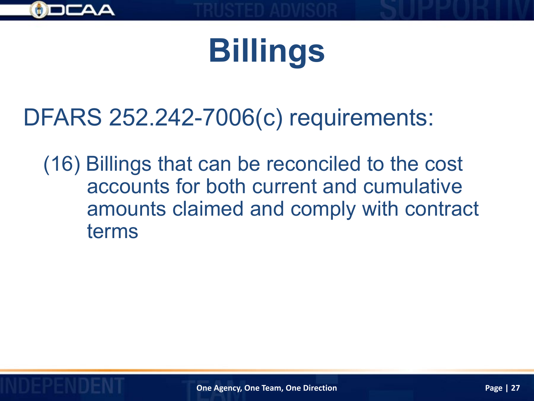

## **Billings**

#### DFARS 252.242-7006(c) requirements:

(16) Billings that can be reconciled to the cost accounts for both current and cumulative amounts claimed and comply with contract terms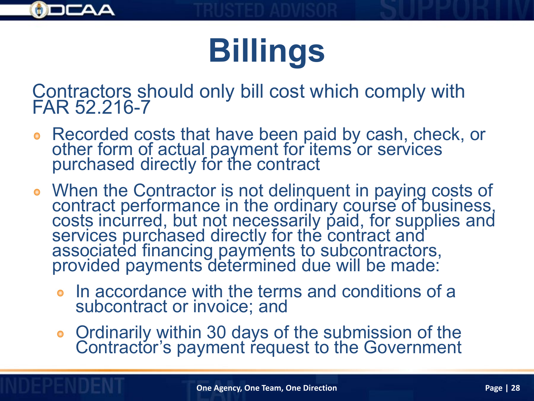

## **Billings**

Contractors should only bill cost which comply with FAR 52.216-7

- Recorded costs that have been paid by cash, check, or other form of actual payment for items or services purchased directly for the contract
- When the Contractor is not delinquent in paying costs of contract performance in the ordinary course of business, costs incurred, but not necessarily paid, for supplies and services purchased directly for the contract and associated financing payments to subcontractors, provided payments determined due will be made:
	- In accordance with the terms and conditions of a subcontract or invoice; and
	- Ordinarily within 30 days of the submission of the Contractor's payment request to the Government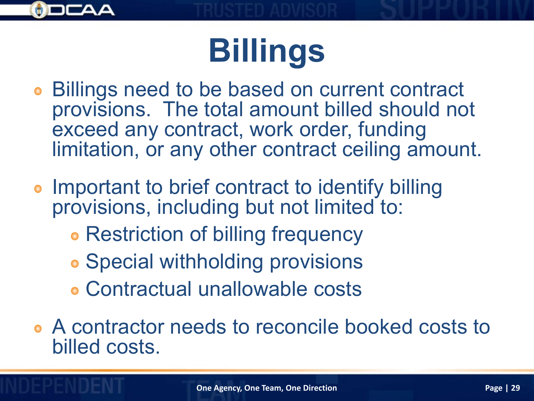

## **Billings**

- Billings need to be based on current contract provisions. The total amount billed should not exceed any contract, work order, funding limitation, or any other contract ceiling amount.
- Important to brief contract to identify billing provisions, including but not limited to:
	- **Restriction of billing frequency**
	- **Special withholding provisions**
	- Contractual unallowable costs
- A contractor needs to reconcile booked costs to billed costs.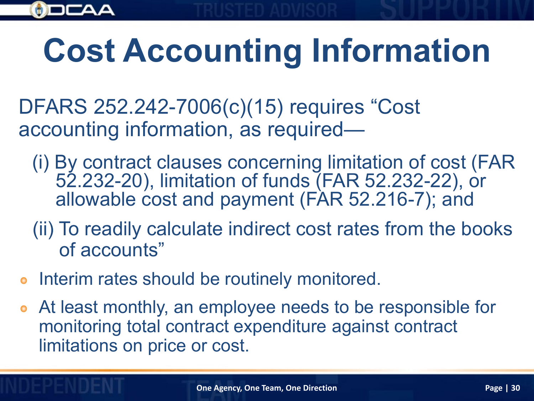

## **Cost Accounting Information**

DFARS 252.242-7006(c)(15) requires "Cost accounting information, as required—

- (i) By contract clauses concerning limitation of cost (FAR 52.232-20), limitation of funds (FAR 52.232-22), or allowable cost and payment (FAR 52.216-7); and
- (ii) To readily calculate indirect cost rates from the books of accounts"
- **•** Interim rates should be routinely monitored.
- At least monthly, an employee needs to be responsible for monitoring total contract expenditure against contract limitations on price or cost.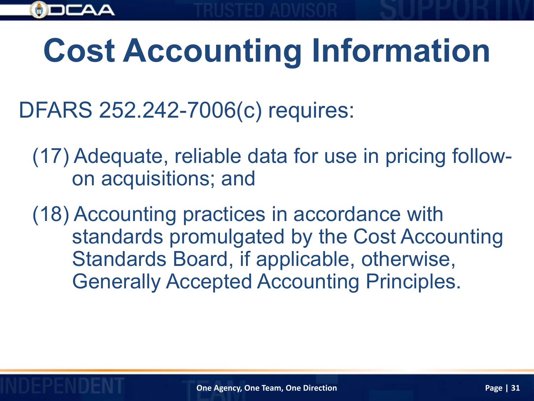

## **Cost Accounting Information**

DFARS 252.242-7006(c) requires:

(17) Adequate, reliable data for use in pricing followon acquisitions; and

(18) Accounting practices in accordance with standards promulgated by the Cost Accounting Standards Board, if applicable, otherwise, Generally Accepted Accounting Principles.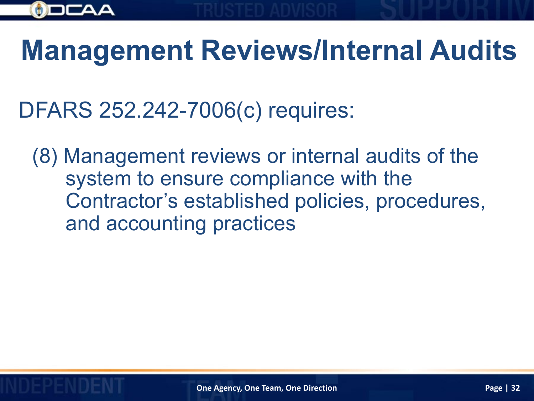

#### **Management Reviews/Internal Audits**

DFARS 252.242-7006(c) requires:

(8) Management reviews or internal audits of the system to ensure compliance with the Contractor's established policies, procedures, and accounting practices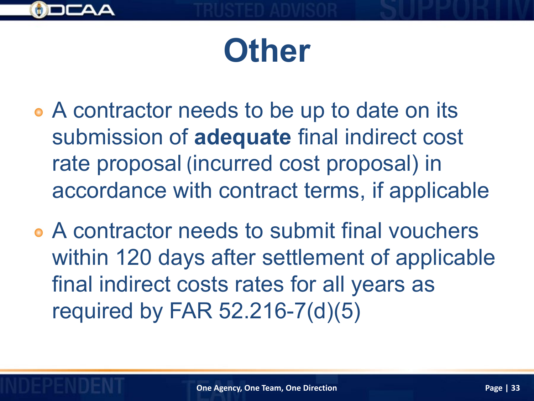

#### **Other**

- A contractor needs to be up to date on its submission of **adequate** final indirect cost rate proposal (incurred cost proposal) in accordance with contract terms, if applicable
- A contractor needs to submit final vouchers within 120 days after settlement of applicable final indirect costs rates for all years as required by FAR 52.216-7(d)(5)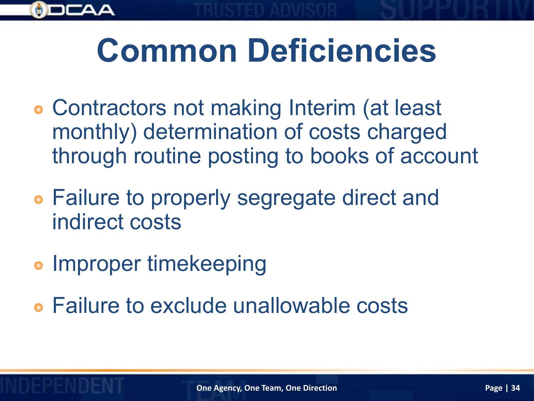

- Contractors not making Interim (at least monthly) determination of costs charged through routine posting to books of account
- Failure to properly segregate direct and indirect costs
- **Improper timekeeping**
- Failure to exclude unallowable costs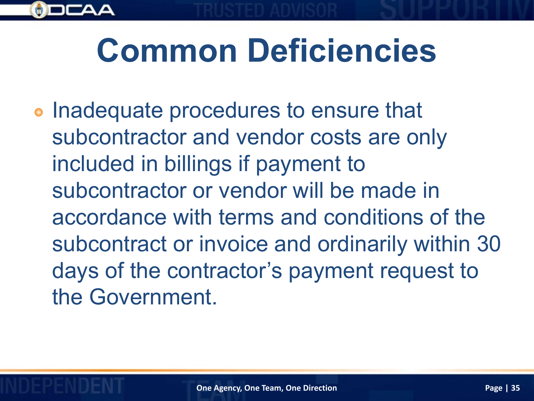## **Common Deficiencies**

**• Inadequate procedures to ensure that** subcontractor and vendor costs are only included in billings if payment to subcontractor or vendor will be made in accordance with terms and conditions of the subcontract or invoice and ordinarily within 30 days of the contractor's payment request to the Government.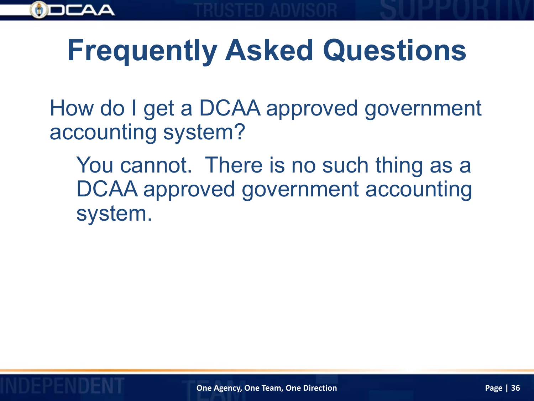

#### **Frequently Asked Questions**

How do I get a DCAA approved government accounting system?

You cannot. There is no such thing as a DCAA approved government accounting system.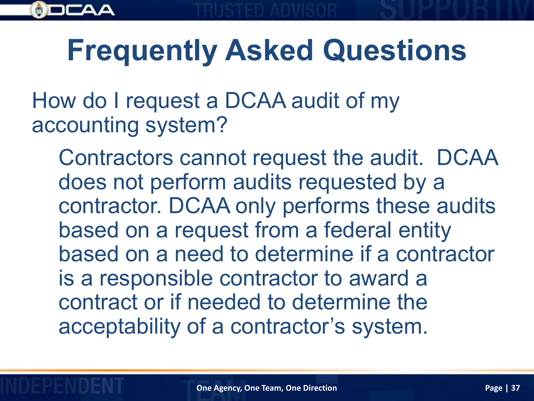

#### **Frequently Asked Questions**

How do I request a DCAA audit of my accounting system?

Contractors cannot request the audit. DCAA does not perform audits requested by a contractor. DCAA only performs these audits based on a request from a federal entity based on a need to determine if a contractor is a responsible contractor to award a contract or if needed to determine the acceptability of a contractor's system.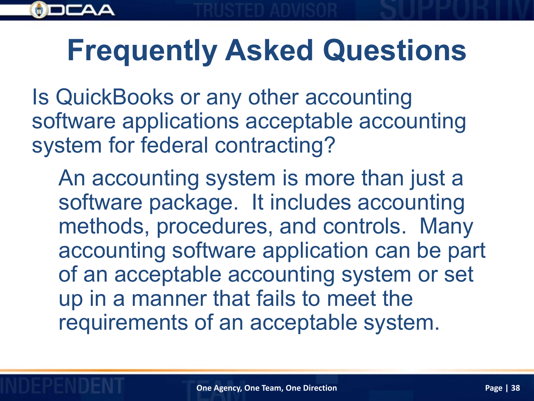

#### **Frequently Asked Questions**

Is QuickBooks or any other accounting software applications acceptable accounting system for federal contracting?

An accounting system is more than just a software package. It includes accounting methods, procedures, and controls. Many accounting software application can be part of an acceptable accounting system or set up in a manner that fails to meet the requirements of an acceptable system.